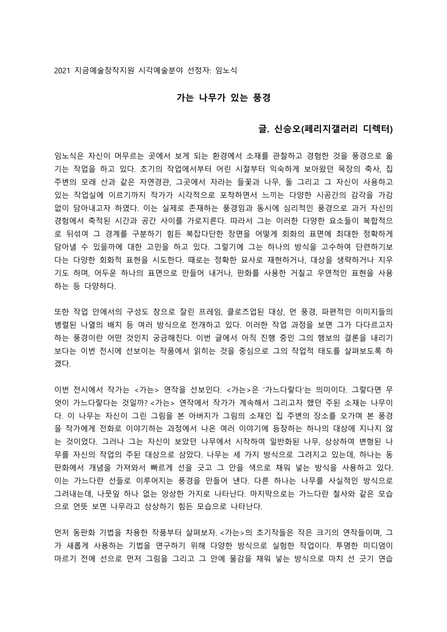## **가는 나무가 있는 풍경**

## **글. 신승오(페리지갤러리 디렉터)**

임노식은 자신이 머무르는 곳에서 보게 되는 환경에서 소재를 관찰하고 경험한 것을 풍경으로 옮 기는 작업을 하고 있다. 초기의 작업에서부터 어린 시절부터 익숙하게 보아왔던 목장의 축사, 집 주변의 모래 산과 같은 자연경관, 그곳에서 자라는 들꽃과 나무, 돌 그리고 그 자신이 사용하고 있는 작업실에 이르기까지 작가가 시각적으로 포착하면서 느끼는 다양한 시공간의 감각을 가감 없이 담아내고자 하였다. 이는 실제로 존재하는 풍경임과 동시에 심리적인 풍경으로 과거 자신의 경험에서 축적된 시간과 공간 사이를 가로지른다. 따라서 그는 이러한 다양한 요소들이 복합적으 로 뒤섞여 그 경계를 구분하기 힘든 복잡다단한 장면을 어떻게 회화의 표면에 최대한 정확하게 담아낼 수 있을까에 대한 고민을 하고 있다. 그렇기에 그는 하나의 방식을 고수하여 단련하기보 다는 다양한 회화적 표현을 시도한다. 때로는 정확한 묘사로 재현하거나, 대상을 생략하거나 지우 기도 하며, 어두운 하나의 표면으로 만들어 내거나, 판화를 사용한 거칠고 우연적인 표현을 사용 하는 등 다양하다.

또한 작업 안에서의 구성도 창으로 잘린 프레임, 클로즈업된 대상, 먼 풍경, 파편적인 이미지들의 병렬된 나열의 배치 등 여러 방식으로 전개하고 있다. 이러한 작업 과정을 보면 그가 다다르고자 하는 풍경이란 어떤 것인지 궁금해진다. 이번 글에서 아직 진행 중인 그의 행보의 결론을 내리기 보다는 이번 전시에 선보이는 작품에서 읽히는 것을 중심으로 그의 작업적 태도를 살펴보도록 하 겠다.

이번 전시에서 작가는 <가는> 연작을 선보인다. <가는>은 '가느다랗다'는 의미이다. 그렇다면 무 엇이 가느다랗다는 것일까? <가는> 연작에서 작가가 계속해서 그리고자 했던 주된 소재는 나무이 다. 이 나무는 자신이 그린 그림을 본 아버지가 그림의 소재인 집 주변의 장소를 오가며 본 풍경 을 작가에게 전화로 이야기하는 과정에서 나온 여러 이야기에 등장하는 하나의 대상에 지나지 않 는 것이었다. 그러나 그는 자신이 보았던 나무에서 시작하여 일반화된 나무, 상상하여 변형된 나 무를 자신의 작업의 주된 대상으로 삼았다. 나무는 세 가지 방식으로 그려지고 있는데, 하나는 동 판화에서 개념을 가져와서 빠르게 선을 긋고 그 안을 색으로 채워 넣는 방식을 사용하고 있다. 이는 가느다란 선들로 이루어지는 풍경을 만들어 낸다. 다른 하나는 나무를 사실적인 방식으로 그려내는데, 나뭇잎 하나 없는 앙상한 가지로 나타난다. 마지막으로는 가느다란 철사와 같은 모습 으로 언뜻 보면 나무라고 상상하기 힘든 모습으로 나타난다.

먼저 동판화 기법을 차용한 작품부터 살펴보자. <가는>의 초기작들은 작은 크기의 연작들이며, 그 가 새롭게 사용하는 기법을 연구하기 위해 다양한 방식으로 실험한 작업이다. 투명한 미디엄이 마르기 전에 선으로 먼저 그림을 그리고 그 안에 물감을 채워 넣는 방식으로 마치 선 긋기 연습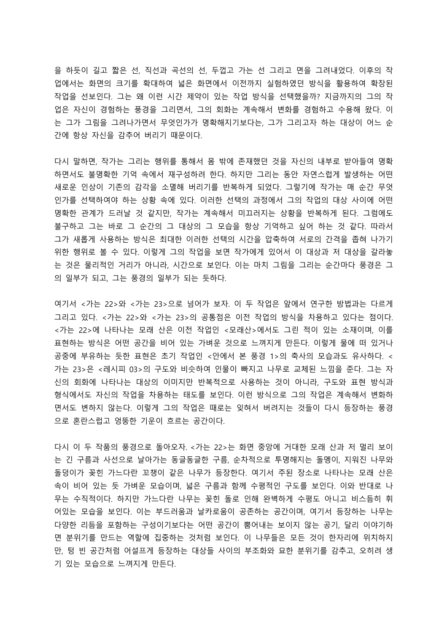을 하듯이 길고 짧은 선, 직선과 곡선의 선, 두껍고 가는 선 그리고 면을 그려내었다. 이후의 작 업에서는 화면의 크기를 확대하여 넓은 화면에서 이전까지 실험하였던 방식을 활용하여 확장된 작업을 선보인다. 그는 왜 이런 시간 제약이 있는 작업 방식을 선택했을까? 지금까지의 그의 작 업은 자신이 경험하는 풍경을 그리면서, 그의 회화는 계속해서 변화를 경험하고 수용해 왔다. 이 는 그가 그림을 그려나가면서 무엇인가가 명확해지기보다는, 그가 그리고자 하는 대상이 어느 순 간에 항상 자신을 감추어 버리기 때문이다.

다시 말하면, 작가는 그리는 행위를 통해서 몸 밖에 존재했던 것을 자신의 내부로 받아들여 명확 하면서도 불명확한 기억 속에서 재구성하려 한다. 하지만 그리는 동안 자연스럽게 발생하는 어떤 새로운 인상이 기존의 감각을 소멸해 버리기를 반복하게 되었다. 그렇기에 작가는 매 순간 무엇 인가를 선택하여야 하는 상황 속에 있다. 이러한 선택의 과정에서 그의 작업의 대상 사이에 어떤 명확한 관계가 드러날 것 같지만, 작가는 계속해서 미끄러지는 상황을 반복하게 된다. 그럼에도 불구하고 그는 바로 그 순간의 그 대상의 그 모습을 항상 기억하고 싶어 하는 것 같다. 따라서 그가 새롭게 사용하는 방식은 최대한 이러한 선택의 시간을 압축하여 서로의 간격을 좁혀 나가기 위한 행위로 볼 수 있다. 이렇게 그의 작업을 보면 작가에게 있어서 이 대상과 저 대상을 갈라놓 는 것은 물리적인 거리가 아니라, 시간으로 보인다. 이는 마치 그림을 그리는 순간마다 풍경은 그 의 일부가 되고, 그는 풍경의 일부가 되는 듯하다.

여기서 <가는 22>와 <가는 23>으로 넘어가 보자. 이 두 작업은 앞에서 연구한 방법과는 다르게 그리고 있다. <가는 22>와 <가는 23>의 공통점은 이전 작업의 방식을 차용하고 있다는 점이다. <가는 22>에 나타나는 모래 산은 이전 작업인 <모래산>에서도 그린 적이 있는 소재이며, 이를 표현하는 방식은 어떤 공간을 비어 있는 가벼운 것으로 느껴지게 만든다. 이렇게 물에 떠 있거나 공중에 부유하는 듯한 표현은 초기 작업인 <안에서 본 풍경 1>의 축사의 모습과도 유사하다. < 가는 23>은 <레시피 03>의 구도와 비슷하여 인물이 빠지고 나무로 교체된 느낌을 준다. 그는 자 신의 회화에 나타나는 대상의 이미지만 반복적으로 사용하는 것이 아니라, 구도와 표현 방식과 형식에서도 자신의 작업을 차용하는 태도를 보인다. 이런 방식으로 그의 작업은 계속해서 변화하 면서도 변하지 않는다. 이렇게 그의 작업은 때로는 잊혀서 버려지는 것들이 다시 등장하는 풍경 으로 혼란스럽고 엉뚱한 기운이 흐르는 공간이다.

다시 이 두 작품의 풍경으로 돌아오자. <가는 22>는 화면 중앙에 거대한 모래 산과 저 멀리 보이 는 긴 구름과 사선으로 날아가는 동글동글한 구름, 순차적으로 투명해지는 돌멩이, 지워진 나무와 돌덩이가 꽂힌 가느다란 꼬챙이 같은 나무가 등장한다. 여기서 주된 장소로 나타나는 모래 산은 속이 비어 있는 듯 가벼운 모습이며, 넓은 구름과 함께 수평적인 구도를 보인다. 이와 반대로 나 무는 수직적이다. 하지만 가느다란 나무는 꽂힌 돌로 인해 완벽하게 수평도 아니고 비스듬히 휘 어있는 모습을 보인다. 이는 부드러움과 날카로움이 공존하는 공간이며, 여기서 등장하는 나무는 다양한 리듬을 포함하는 구성이기보다는 어떤 공간이 뿜어내는 보이지 않는 공기, 달리 이야기하 면 분위기를 만드는 역할에 집중하는 것처럼 보인다. 이 나무들은 모든 것이 한자리에 위치하지 만, 텅 빈 공간처럼 어설프게 등장하는 대상들 사이의 부조화와 묘한 분위기를 감추고, 오히려 생 기 있는 모습으로 느껴지게 만든다.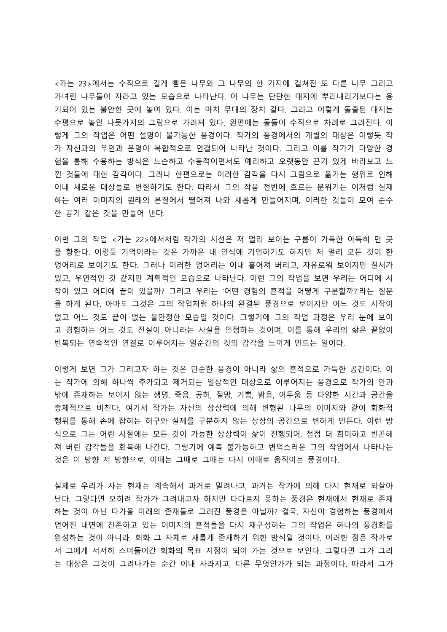<가는 23>에서는 수직으로 길게 뻗은 나무와 그 나무의 한 가지에 걸쳐진 또 다른 나무 그리고 가녀린 나무들이 자라고 있는 모습으로 나타난다. 이 나무는 단단한 대지에 뿌리내리기보다는 융 기되어 있는 불안한 곳에 놓여 있다. 이는 마치 무대의 장치 같다. 그리고 이렇게 돌출된 대지는 수평으로 놓인 나뭇가지의 그림으로 가려져 있다. 왼편에는 돌들이 수직으로 차례로 그려진다. 이 렇게 그의 작업은 어떤 설명이 불가능한 풍경이다. 작가의 풍경에서의 개별의 대상은 이렇듯 작 가 자신과의 우연과 운명이 복합적으로 연결되어 나타난 것이다. 그리고 이를 작가가 다양한 경 험을 통해 수용하는 방식은 느슨하고 수동적이면서도 예리하고 오랫동안 끈기 있게 바라보고 느 낀 것들에 대한 감각이다. 그러나 한편으로는 이러한 감각을 다시 그림으로 옮기는 행위로 인해 이내 새로운 대상들로 변질하기도 한다. 따라서 그의 작품 전반에 흐르는 분위기는 이처럼 실재 하는 여러 이미지의 원래의 본질에서 떨어져 나와 새롭게 만들어지며, 이러한 것들이 모여 순수 한 공기 같은 것을 만들어 낸다.

이번 그의 작업 <가는 22>에서처럼 작가의 시선은 저 멀리 보이는 구름이 가득한 아득히 먼 곳 을 향한다. 이렇듯 기억이라는 것은 가까운 내 인식에 기인하기도 하지만 저 멀리 모든 것이 한 덩어리로 보이기도 한다. 그러나 이러한 덩어리는 이내 흩어져 버리고, 자유로워 보이지만 질서가 있고, 우연적인 것 같지만 계획적인 모습으로 나타난다. 이런 그의 작업을 보면 우리는 어디에 시 작이 있고 어디에 끝이 있을까? 그리고 우리는 '어떤 경험의 흔적을 어떻게 구분할까?'라는 질문 을 하게 된다. 아마도 그것은 그의 작업처럼 하나의 완결된 풍경으로 보이지만 어느 것도 시작이 없고 어느 것도 끝이 없는 불안정한 모습일 것이다. 그렇기에 그의 작업 과정은 우리 눈에 보이 고 경험하는 어느 것도 진실이 아니라는 사실을 인정하는 것이며, 이를 통해 우리의 삶은 끝없이 반복되는 연속적인 연결로 이루어지는 일순간의 것의 감각을 느끼게 만드는 일이다.

이렇게 보면 그가 그리고자 하는 것은 단순한 풍경이 아니라 삶의 흔적으로 가득한 공간이다. 이 는 작가에 의해 하나씩 추가되고 제거되는 일상적인 대상으로 이루어지는 풍경으로 작가의 안과 밖에 존재하는 보이지 않는 생명, 죽음, 공허, 절망, 기쁨, 밝음, 어두움 등 다양한 시간과 공간을 총체적으로 비친다. 여기서 작가는 자신의 상상력에 의해 변형된 나무의 이미지와 같이 회화적 행위를 통해 손에 잡히는 허구와 실제를 구분하지 않는 상상의 공간으로 변하게 만든다. 이런 방 식으로 그는 어린 시절에는 모든 것이 가능한 상상력이 삶이 진행되어, 점점 더 희미하고 빈곤해 져 버린 감각들을 회복해 나간다. 그렇기에 예측 불가능하고 변덕스러운 그의 작업에서 나타나는 것은 이 방향 저 방향으로, 이때는 그때로 그때는 다시 이때로 움직이는 풍경이다.

실제로 우리가 사는 현재는 계속해서 과거로 밀려나고, 과거는 작가에 의해 다시 현재로 되살아 난다. 그렇다면 오히려 작가가 그려내고자 하지만 다다르지 못하는 풍경은 현재에서 현재로 존재 하는 것이 아닌 다가올 미래의 존재들로 그려진 풍경은 아닐까? 결국, 자신이 경험하는 풍경에서 얻어진 내면에 잔존하고 있는 이미지의 흔적들을 다시 재구성하는 그의 작업은 하나의 풍경화를 완성하는 것이 아니라, 회화 그 자체로 새롭게 존재하기 위한 방식일 것이다. 이러한 점은 작가로 서 그에게 서서히 스며들어간 회화의 목표 지점이 되어 가는 것으로 보인다. 그렇다면 그가 그리 는 대상은 그것이 그려나가는 순간 이내 사라지고, 다른 무엇인가가 되는 과정이다. 따라서 그가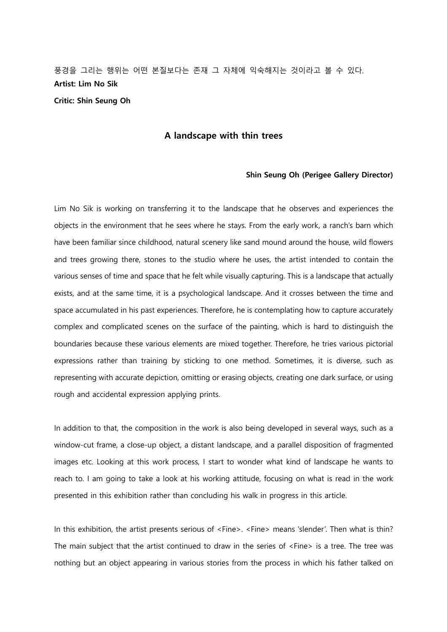# 풍경을 그리는 행위는 어떤 본질보다는 존재 그 자체에 익숙해지는 것이라고 볼 수 있다. **Artist: Lim No Sik**

**Critic: Shin Seung Oh**

### **A landscape with thin trees**

#### **Shin Seung Oh (Perigee Gallery Director)**

Lim No Sik is working on transferring it to the landscape that he observes and experiences the objects in the environment that he sees where he stays. From the early work, a ranch's barn which have been familiar since childhood, natural scenery like sand mound around the house, wild flowers and trees growing there, stones to the studio where he uses, the artist intended to contain the various senses of time and space that he felt while visually capturing. This is a landscape that actually exists, and at the same time, it is a psychological landscape. And it crosses between the time and space accumulated in his past experiences. Therefore, he is contemplating how to capture accurately complex and complicated scenes on the surface of the painting, which is hard to distinguish the boundaries because these various elements are mixed together. Therefore, he tries various pictorial expressions rather than training by sticking to one method. Sometimes, it is diverse, such as representing with accurate depiction, omitting or erasing objects, creating one dark surface, or using rough and accidental expression applying prints.

In addition to that, the composition in the work is also being developed in several ways, such as a window-cut frame, a close-up object, a distant landscape, and a parallel disposition of fragmented images etc. Looking at this work process, I start to wonder what kind of landscape he wants to reach to. I am going to take a look at his working attitude, focusing on what is read in the work presented in this exhibition rather than concluding his walk in progress in this article.

In this exhibition, the artist presents serious of <Fine>. <Fine> means 'slender'. Then what is thin? The main subject that the artist continued to draw in the series of <Fine> is a tree. The tree was nothing but an object appearing in various stories from the process in which his father talked on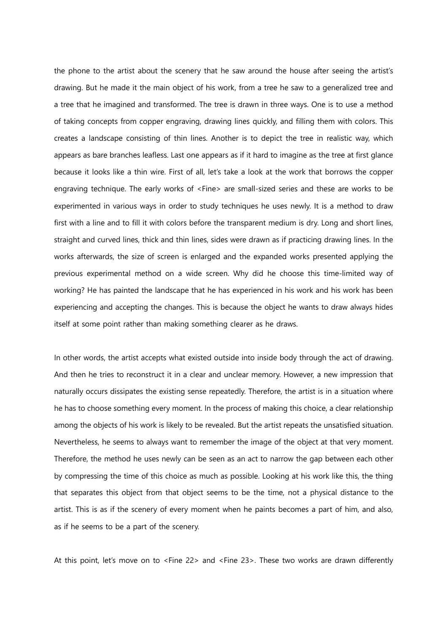the phone to the artist about the scenery that he saw around the house after seeing the artist's drawing. But he made it the main object of his work, from a tree he saw to a generalized tree and a tree that he imagined and transformed. The tree is drawn in three ways. One is to use a method of taking concepts from copper engraving, drawing lines quickly, and filling them with colors. This creates a landscape consisting of thin lines. Another is to depict the tree in realistic way, which appears as bare branches leafless. Last one appears as if it hard to imagine as the tree at first glance because it looks like a thin wire. First of all, let's take a look at the work that borrows the copper engraving technique. The early works of <Fine> are small-sized series and these are works to be experimented in various ways in order to study techniques he uses newly. It is a method to draw first with a line and to fill it with colors before the transparent medium is dry. Long and short lines, straight and curved lines, thick and thin lines, sides were drawn as if practicing drawing lines. In the works afterwards, the size of screen is enlarged and the expanded works presented applying the previous experimental method on a wide screen. Why did he choose this time-limited way of working? He has painted the landscape that he has experienced in his work and his work has been experiencing and accepting the changes. This is because the object he wants to draw always hides itself at some point rather than making something clearer as he draws.

In other words, the artist accepts what existed outside into inside body through the act of drawing. And then he tries to reconstruct it in a clear and unclear memory. However, a new impression that naturally occurs dissipates the existing sense repeatedly. Therefore, the artist is in a situation where he has to choose something every moment. In the process of making this choice, a clear relationship among the objects of his work is likely to be revealed. But the artist repeats the unsatisfied situation. Nevertheless, he seems to always want to remember the image of the object at that very moment. Therefore, the method he uses newly can be seen as an act to narrow the gap between each other by compressing the time of this choice as much as possible. Looking at his work like this, the thing that separates this object from that object seems to be the time, not a physical distance to the artist. This is as if the scenery of every moment when he paints becomes a part of him, and also, as if he seems to be a part of the scenery.

At this point, let's move on to <Fine 22> and <Fine 23>. These two works are drawn differently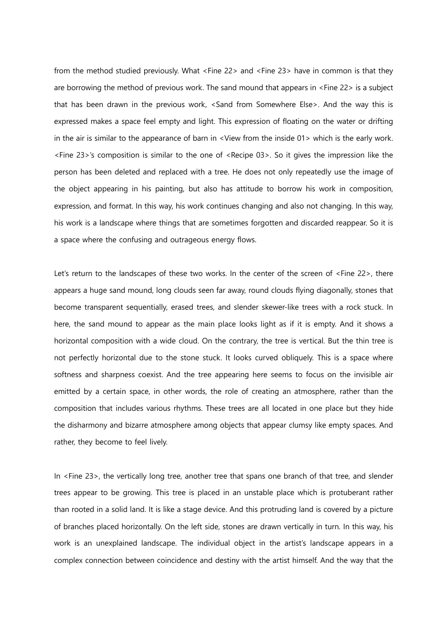from the method studied previously. What <Fine 22> and <Fine 23> have in common is that they are borrowing the method of previous work. The sand mound that appears in <Fine 22> is a subject that has been drawn in the previous work, <Sand from Somewhere Else>. And the way this is expressed makes a space feel empty and light. This expression of floating on the water or drifting in the air is similar to the appearance of barn in <View from the inside 01> which is the early work. <Fine 23>'s composition is similar to the one of <Recipe 03>. So it gives the impression like the person has been deleted and replaced with a tree. He does not only repeatedly use the image of the object appearing in his painting, but also has attitude to borrow his work in composition, expression, and format. In this way, his work continues changing and also not changing. In this way, his work is a landscape where things that are sometimes forgotten and discarded reappear. So it is a space where the confusing and outrageous energy flows.

Let's return to the landscapes of these two works. In the center of the screen of <Fine 22>, there appears a huge sand mound, long clouds seen far away, round clouds flying diagonally, stones that become transparent sequentially, erased trees, and slender skewer-like trees with a rock stuck. In here, the sand mound to appear as the main place looks light as if it is empty. And it shows a horizontal composition with a wide cloud. On the contrary, the tree is vertical. But the thin tree is not perfectly horizontal due to the stone stuck. It looks curved obliquely. This is a space where softness and sharpness coexist. And the tree appearing here seems to focus on the invisible air emitted by a certain space, in other words, the role of creating an atmosphere, rather than the composition that includes various rhythms. These trees are all located in one place but they hide the disharmony and bizarre atmosphere among objects that appear clumsy like empty spaces. And rather, they become to feel lively.

In <Fine 23>, the vertically long tree, another tree that spans one branch of that tree, and slender trees appear to be growing. This tree is placed in an unstable place which is protuberant rather than rooted in a solid land. It is like a stage device. And this protruding land is covered by a picture of branches placed horizontally. On the left side, stones are drawn vertically in turn. In this way, his work is an unexplained landscape. The individual object in the artist's landscape appears in a complex connection between coincidence and destiny with the artist himself. And the way that the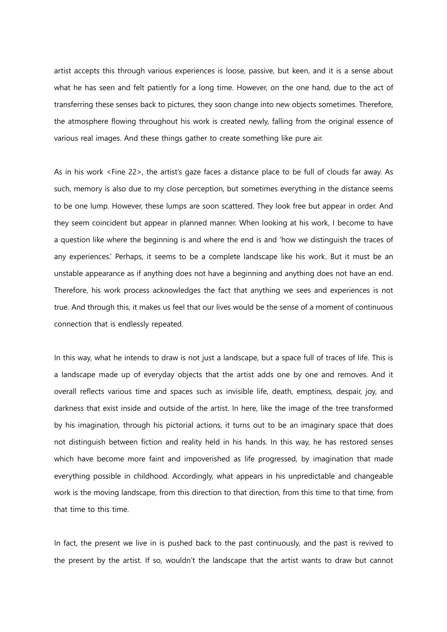artist accepts this through various experiences is loose, passive, but keen, and it is a sense about what he has seen and felt patiently for a long time. However, on the one hand, due to the act of transferring these senses back to pictures, they soon change into new objects sometimes. Therefore, the atmosphere flowing throughout his work is created newly, falling from the original essence of various real images. And these things gather to create something like pure air.

As in his work <Fine 22>, the artist's gaze faces a distance place to be full of clouds far away. As such, memory is also due to my close perception, but sometimes everything in the distance seems to be one lump. However, these lumps are soon scattered. They look free but appear in order. And they seem coincident but appear in planned manner. When looking at his work, I become to have a question like where the beginning is and where the end is and 'how we distinguish the traces of any experiences.' Perhaps, it seems to be a complete landscape like his work. But it must be an unstable appearance as if anything does not have a beginning and anything does not have an end. Therefore, his work process acknowledges the fact that anything we sees and experiences is not true. And through this, it makes us feel that our lives would be the sense of a moment of continuous connection that is endlessly repeated.

In this way, what he intends to draw is not just a landscape, but a space full of traces of life. This is a landscape made up of everyday objects that the artist adds one by one and removes. And it overall reflects various time and spaces such as invisible life, death, emptiness, despair, joy, and darkness that exist inside and outside of the artist. In here, like the image of the tree transformed by his imagination, through his pictorial actions, it turns out to be an imaginary space that does not distinguish between fiction and reality held in his hands. In this way, he has restored senses which have become more faint and impoverished as life progressed, by imagination that made everything possible in childhood. Accordingly, what appears in his unpredictable and changeable work is the moving landscape, from this direction to that direction, from this time to that time, from that time to this time.

In fact, the present we live in is pushed back to the past continuously, and the past is revived to the present by the artist. If so, wouldn't the landscape that the artist wants to draw but cannot